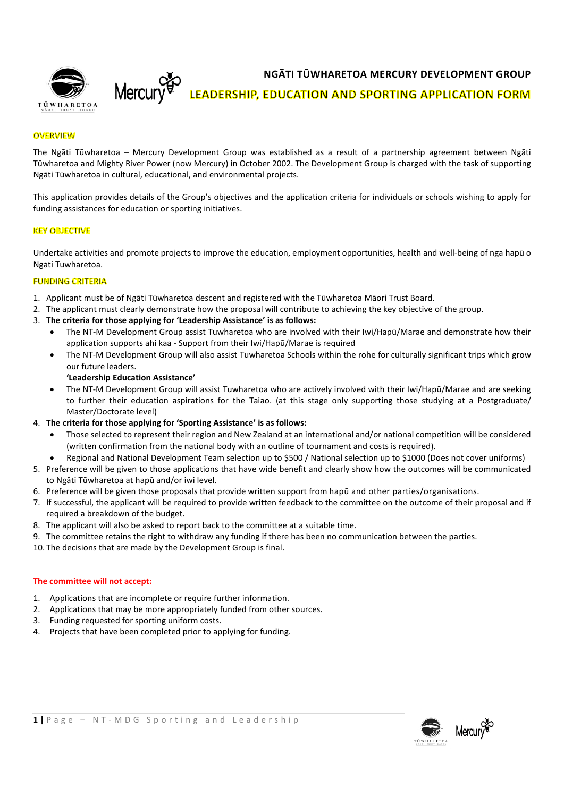**NGĀTI TŪWHARETOA MERCURY DEVELOPMENT GROUP**



**LEADERSHIP, EDUCATION AND SPORTING APPLICATION FORM** 

### **OVERVIEW**

The Ngāti Tūwharetoa – Mercury Development Group was established as a result of a partnership agreement between Ngāti Tūwharetoa and Mighty River Power (now Mercury) in October 2002. The Development Group is charged with the task of supporting Ngāti Tūwharetoa in cultural, educational, and environmental projects.

This application provides details of the Group's objectives and the application criteria for individuals or schools wishing to apply for funding assistances for education or sporting initiatives.

#### **KEY OBJECTIVE**

Undertake activities and promote projects to improve the education, employment opportunities, health and well-being of nga hapū o Ngati Tuwharetoa.

#### **FUNDING CRITERIA**

- 1. Applicant must be of Ngāti Tūwharetoa descent and registered with the Tūwharetoa Māori Trust Board.
- 2. The applicant must clearly demonstrate how the proposal will contribute to achieving the key objective of the group.
- 3. **The criteria for those applying for 'Leadership Assistance' is as follows:** 
	- The NT-M Development Group assist Tuwharetoa who are involved with their Iwi/Hapū/Marae and demonstrate how their application supports ahi kaa - Support from their Iwi/Hapū/Marae is required
	- The NT-M Development Group will also assist Tuwharetoa Schools within the rohe for culturally significant trips which grow our future leaders.

#### **'Leadership Education Assistance'**

Mercury

- The NT-M Development Group will assist Tuwharetoa who are actively involved with their Iwi/Hapū/Marae and are seeking to further their education aspirations for the Taiao. (at this stage only supporting those studying at a Postgraduate/ Master/Doctorate level)
- 4. **The criteria for those applying for 'Sporting Assistance' is as follows:** 
	- Those selected to represent their region and New Zealand at an international and/or national competition will be considered (written confirmation from the national body with an outline of tournament and costs is required).
	- Regional and National Development Team selection up to \$500 / National selection up to \$1000 (Does not cover uniforms)
- 5. Preference will be given to those applications that have wide benefit and clearly show how the outcomes will be communicated to Ngāti Tūwharetoa at hapū and/or iwi level.
- 6. Preference will be given those proposals that provide written support from hapū and other parties/organisations.
- 7. If successful, the applicant will be required to provide written feedback to the committee on the outcome of their proposal and if required a breakdown of the budget.
- 8. The applicant will also be asked to report back to the committee at a suitable time.
- 9. The committee retains the right to withdraw any funding if there has been no communication between the parties.
- 10. The decisions that are made by the Development Group is final.

#### **The committee will not accept:**

- 1. Applications that are incomplete or require further information.
- 2. Applications that may be more appropriately funded from other sources.
- 3. Funding requested for sporting uniform costs.
- 4. Projects that have been completed prior to applying for funding.

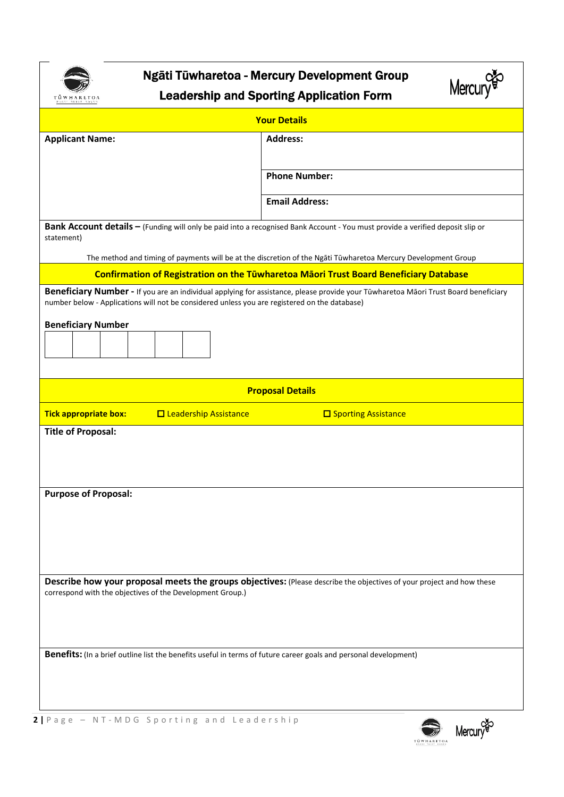

# Ngāti Tūwharetoa - Mercury Development Group Leadership and Sporting Application Form



| <b>Your Details</b>                                                                                                                                                                                                                  |                                                                                              |  |
|--------------------------------------------------------------------------------------------------------------------------------------------------------------------------------------------------------------------------------------|----------------------------------------------------------------------------------------------|--|
| <b>Applicant Name:</b>                                                                                                                                                                                                               | <b>Address:</b>                                                                              |  |
|                                                                                                                                                                                                                                      |                                                                                              |  |
|                                                                                                                                                                                                                                      | <b>Phone Number:</b>                                                                         |  |
|                                                                                                                                                                                                                                      | <b>Email Address:</b>                                                                        |  |
| Bank Account details - (Funding will only be paid into a recognised Bank Account - You must provide a verified deposit slip or<br>statement)                                                                                         |                                                                                              |  |
| The method and timing of payments will be at the discretion of the Ngāti Tūwharetoa Mercury Development Group                                                                                                                        |                                                                                              |  |
|                                                                                                                                                                                                                                      | <b>Confirmation of Registration on the Tüwharetoa Māori Trust Board Beneficiary Database</b> |  |
| Beneficiary Number - If you are an individual applying for assistance, please provide your Tūwharetoa Māori Trust Board beneficiary<br>number below - Applications will not be considered unless you are registered on the database) |                                                                                              |  |
| <b>Beneficiary Number</b>                                                                                                                                                                                                            |                                                                                              |  |
|                                                                                                                                                                                                                                      |                                                                                              |  |
|                                                                                                                                                                                                                                      |                                                                                              |  |
| <b>Proposal Details</b>                                                                                                                                                                                                              |                                                                                              |  |
| <b>O</b> Leadership Assistance<br><b>Tick appropriate box:</b>                                                                                                                                                                       | <b>O</b> Sporting Assistance                                                                 |  |
| <b>Title of Proposal:</b>                                                                                                                                                                                                            |                                                                                              |  |
|                                                                                                                                                                                                                                      |                                                                                              |  |
|                                                                                                                                                                                                                                      |                                                                                              |  |
| <b>Purpose of Proposal:</b>                                                                                                                                                                                                          |                                                                                              |  |
|                                                                                                                                                                                                                                      |                                                                                              |  |
|                                                                                                                                                                                                                                      |                                                                                              |  |
|                                                                                                                                                                                                                                      |                                                                                              |  |
|                                                                                                                                                                                                                                      |                                                                                              |  |
| Describe how your proposal meets the groups objectives: (Please describe the objectives of your project and how these<br>correspond with the objectives of the Development Group.)                                                   |                                                                                              |  |
|                                                                                                                                                                                                                                      |                                                                                              |  |
|                                                                                                                                                                                                                                      |                                                                                              |  |
| Benefits: (In a brief outline list the benefits useful in terms of future career goals and personal development)                                                                                                                     |                                                                                              |  |
|                                                                                                                                                                                                                                      |                                                                                              |  |
|                                                                                                                                                                                                                                      |                                                                                              |  |
|                                                                                                                                                                                                                                      |                                                                                              |  |

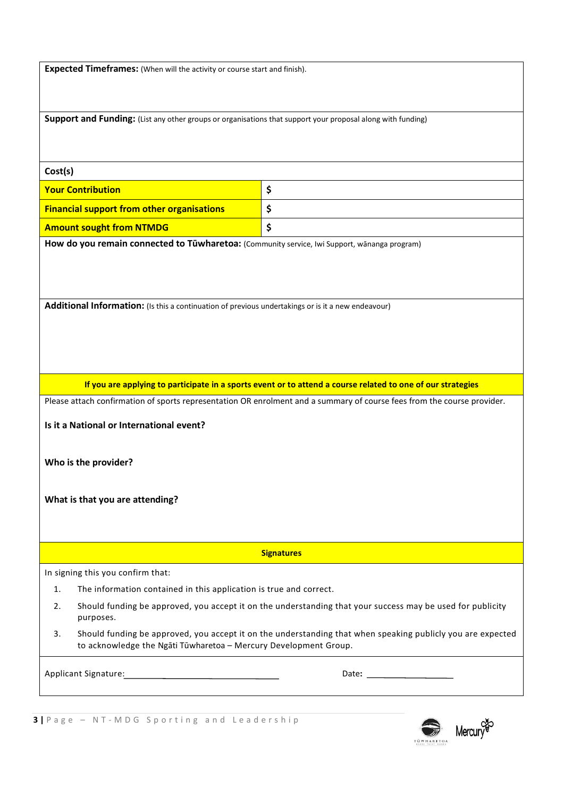**Expected Timeframes:** (When will the activity or course start and finish).

**Support and Funding:** (List any other groups or organisations that support your proposal along with funding)

#### **Cost(s)**

| <b>Your Contribution</b>                          |  |
|---------------------------------------------------|--|
| <b>Financial support from other organisations</b> |  |
| <b>Amount sought from NTMDG</b>                   |  |

**How do you remain connected to Tūwharetoa:** (Community service, Iwi Support, wānanga program)

**Additional Information:** (Is this a continuation of previous undertakings or is it a new endeavour)

**If you are applying to participate in a sports event or to attend a course related to one of our strategies**

Please attach confirmation of sports representation OR enrolment and a summary of course fees from the course provider.

**Is it a National or International event?** 

**Who is the provider?** 

**What is that you are attending?** 

**Signatures** 

In signing this you confirm that:

- 1. The information contained in this application is true and correct.
- 2. Should funding be approved, you accept it on the understanding that your success may be used for publicity purposes.
- 3. Should funding be approved, you accept it on the understanding that when speaking publicly you are expected to acknowledge the Ngāti Tūwharetoa – Mercury Development Group.

Applicant Signature: Date**:**